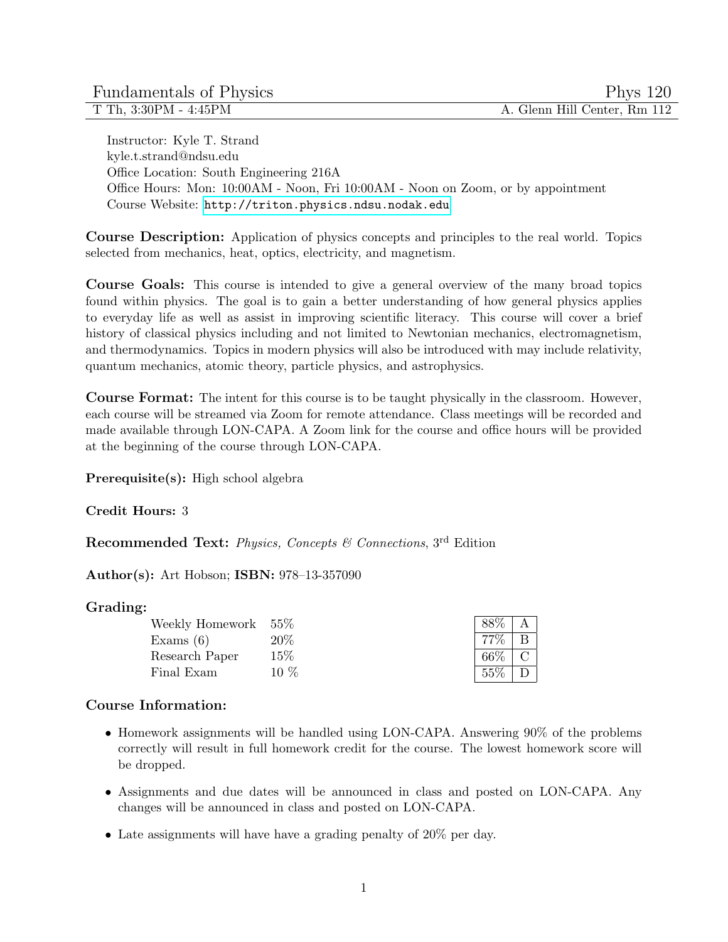Instructor: Kyle T. Strand kyle.t.strand@ndsu.edu Office Location: South Engineering 216A Office Hours: Mon: 10:00AM - Noon, Fri 10:00AM - Noon on Zoom, or by appointment Course Website: <http://triton.physics.ndsu.nodak.edu>

Course Description: Application of physics concepts and principles to the real world. Topics selected from mechanics, heat, optics, electricity, and magnetism.

Course Goals: This course is intended to give a general overview of the many broad topics found within physics. The goal is to gain a better understanding of how general physics applies to everyday life as well as assist in improving scientific literacy. This course will cover a brief history of classical physics including and not limited to Newtonian mechanics, electromagnetism, and thermodynamics. Topics in modern physics will also be introduced with may include relativity, quantum mechanics, atomic theory, particle physics, and astrophysics.

Course Format: The intent for this course is to be taught physically in the classroom. However, each course will be streamed via Zoom for remote attendance. Class meetings will be recorded and made available through LON-CAPA. A Zoom link for the course and office hours will be provided at the beginning of the course through LON-CAPA.

Prerequisite(s): High school algebra

Credit Hours: 3

Recommended Text: Physics, Concepts & Connections, 3rd Edition

Author(s): Art Hobson; ISBN: 978–13-357090

### Grading:

| Weekly Homework | 55%    |
|-----------------|--------|
| Exams $(6)$     | 20%    |
| Research Paper  | 15\%   |
| Final Exam      | $10\%$ |

| 88%    |  |
|--------|--|
| $77\%$ |  |
| $66\%$ |  |
| $55\%$ |  |

### Course Information:

- Homework assignments will be handled using LON-CAPA. Answering 90% of the problems correctly will result in full homework credit for the course. The lowest homework score will be dropped.
- Assignments and due dates will be announced in class and posted on LON-CAPA. Any changes will be announced in class and posted on LON-CAPA.
- Late assignments will have have a grading penalty of 20% per day.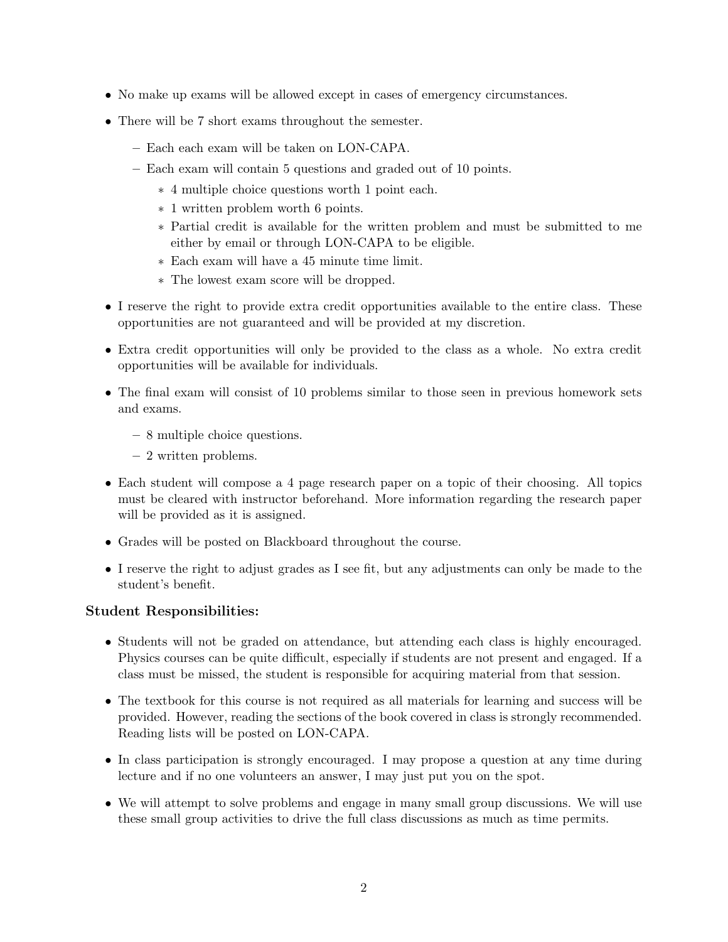- No make up exams will be allowed except in cases of emergency circumstances.
- There will be 7 short exams throughout the semester.
	- Each each exam will be taken on LON-CAPA.
	- Each exam will contain 5 questions and graded out of 10 points.
		- ∗ 4 multiple choice questions worth 1 point each.
		- ∗ 1 written problem worth 6 points.
		- ∗ Partial credit is available for the written problem and must be submitted to me either by email or through LON-CAPA to be eligible.
		- ∗ Each exam will have a 45 minute time limit.
		- ∗ The lowest exam score will be dropped.
- I reserve the right to provide extra credit opportunities available to the entire class. These opportunities are not guaranteed and will be provided at my discretion.
- Extra credit opportunities will only be provided to the class as a whole. No extra credit opportunities will be available for individuals.
- The final exam will consist of 10 problems similar to those seen in previous homework sets and exams.
	- 8 multiple choice questions.
	- 2 written problems.
- Each student will compose a 4 page research paper on a topic of their choosing. All topics must be cleared with instructor beforehand. More information regarding the research paper will be provided as it is assigned.
- Grades will be posted on Blackboard throughout the course.
- I reserve the right to adjust grades as I see fit, but any adjustments can only be made to the student's benefit.

### Student Responsibilities:

- Students will not be graded on attendance, but attending each class is highly encouraged. Physics courses can be quite difficult, especially if students are not present and engaged. If a class must be missed, the student is responsible for acquiring material from that session.
- The textbook for this course is not required as all materials for learning and success will be provided. However, reading the sections of the book covered in class is strongly recommended. Reading lists will be posted on LON-CAPA.
- In class participation is strongly encouraged. I may propose a question at any time during lecture and if no one volunteers an answer, I may just put you on the spot.
- We will attempt to solve problems and engage in many small group discussions. We will use these small group activities to drive the full class discussions as much as time permits.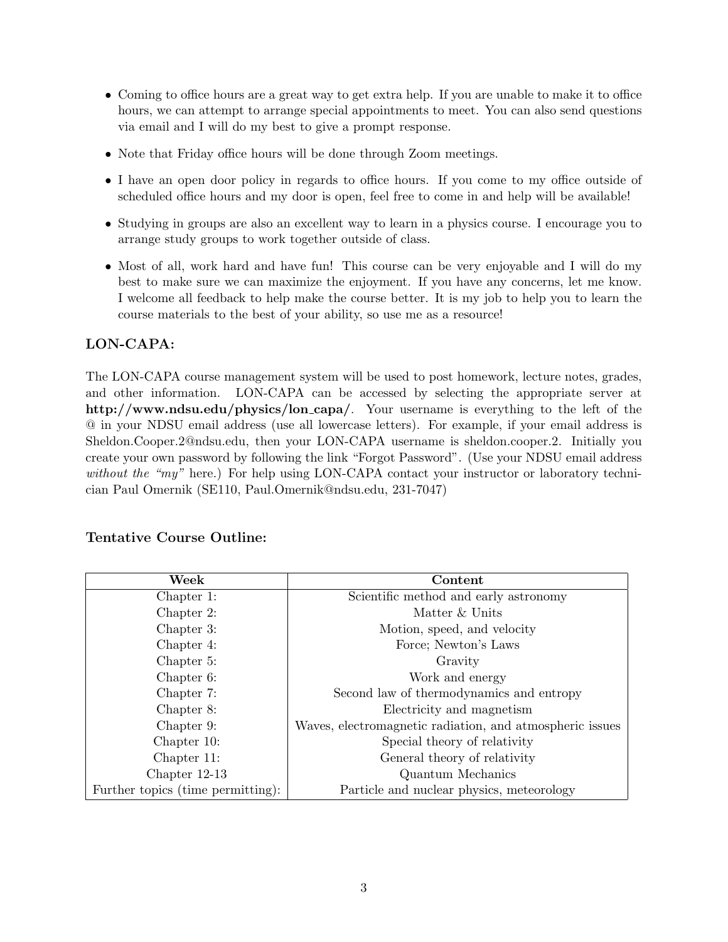- Coming to office hours are a great way to get extra help. If you are unable to make it to office hours, we can attempt to arrange special appointments to meet. You can also send questions via email and I will do my best to give a prompt response.
- Note that Friday office hours will be done through Zoom meetings.
- I have an open door policy in regards to office hours. If you come to my office outside of scheduled office hours and my door is open, feel free to come in and help will be available!
- Studying in groups are also an excellent way to learn in a physics course. I encourage you to arrange study groups to work together outside of class.
- Most of all, work hard and have fun! This course can be very enjoyable and I will do my best to make sure we can maximize the enjoyment. If you have any concerns, let me know. I welcome all feedback to help make the course better. It is my job to help you to learn the course materials to the best of your ability, so use me as a resource!

## LON-CAPA:

The LON-CAPA course management system will be used to post homework, lecture notes, grades, and other information. LON-CAPA can be accessed by selecting the appropriate server at http://www.ndsu.edu/physics/lon capa/. Your username is everything to the left of the @ in your NDSU email address (use all lowercase letters). For example, if your email address is Sheldon.Cooper.2@ndsu.edu, then your LON-CAPA username is sheldon.cooper.2. Initially you create your own password by following the link "Forgot Password". (Use your NDSU email address without the "my" here.) For help using LON-CAPA contact your instructor or laboratory technician Paul Omernik (SE110, Paul.Omernik@ndsu.edu, 231-7047)

| <b>Tentative Course Outline:</b> |  |  |
|----------------------------------|--|--|
|----------------------------------|--|--|

| Week                              | Content                                                  |  |
|-----------------------------------|----------------------------------------------------------|--|
| Chapter 1:                        | Scientific method and early astronomy                    |  |
| Chapter 2:                        | Matter & Units                                           |  |
| Chapter 3:                        | Motion, speed, and velocity                              |  |
| Chapter 4:                        | Force; Newton's Laws                                     |  |
| Chapter 5:                        | Gravity                                                  |  |
| Chapter 6:                        | Work and energy                                          |  |
| Chapter 7:                        | Second law of thermodynamics and entropy                 |  |
| Chapter 8:                        | Electricity and magnetism                                |  |
| Chapter 9:                        | Waves, electromagnetic radiation, and atmospheric issues |  |
| Chapter 10:                       | Special theory of relativity                             |  |
| Chapter 11:                       | General theory of relativity                             |  |
| Chapter $12-13$                   | Quantum Mechanics                                        |  |
| Further topics (time permitting): | Particle and nuclear physics, meteorology                |  |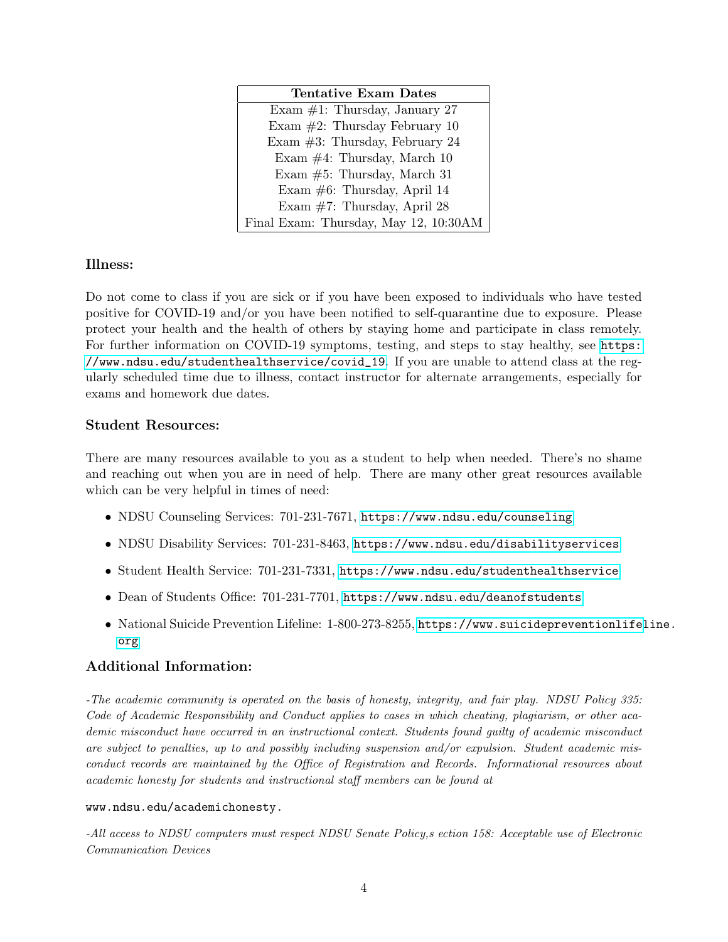| <b>Tentative Exam Dates</b>           |  |
|---------------------------------------|--|
| Exam $\#1$ : Thursday, January 27     |  |
| Exam $#2$ : Thursday February 10      |  |
| Exam $#3$ : Thursday, February 24     |  |
| Exam $#4$ : Thursday, March 10        |  |
| Exam $#5$ : Thursday, March 31        |  |
| Exam $#6$ : Thursday, April 14        |  |
| Exam $#7$ : Thursday, April 28        |  |
| Final Exam: Thursday, May 12, 10:30AM |  |

## Illness:

Do not come to class if you are sick or if you have been exposed to individuals who have tested positive for COVID-19 and/or you have been notified to self-quarantine due to exposure. Please protect your health and the health of others by staying home and participate in class remotely. For further information on COVID-19 symptoms, testing, and steps to stay healthy, see [https:](https://www.ndsu.edu/studenthealthservice/covid_19) [//www.ndsu.edu/studenthealthservice/covid\\_19](https://www.ndsu.edu/studenthealthservice/covid_19). If you are unable to attend class at the regularly scheduled time due to illness, contact instructor for alternate arrangements, especially for exams and homework due dates.

## Student Resources:

There are many resources available to you as a student to help when needed. There's no shame and reaching out when you are in need of help. There are many other great resources available which can be very helpful in times of need:

- NDSU Counseling Services: 701-231-7671, <https://www.ndsu.edu/counseling>
- NDSU Disability Services: 701-231-8463, <https://www.ndsu.edu/disabilityservices>
- Student Health Service: 701-231-7331, <https://www.ndsu.edu/studenthealthservice>
- Dean of Students Office: 701-231-7701, <https://www.ndsu.edu/deanofstudents>
- National Suicide Prevention Lifeline: 1-800-273-8255, [https://www.suicidepreventionlifel](https://www.suicidepreventionlifeline.org)ine. [org](https://www.suicidepreventionlifeline.org)

## Additional Information:

-The academic community is operated on the basis of honesty, integrity, and fair play. NDSU Policy 335: Code of Academic Responsibility and Conduct applies to cases in which cheating, plagiarism, or other academic misconduct have occurred in an instructional context. Students found guilty of academic misconduct are subject to penalties, up to and possibly including suspension and/or expulsion. Student academic misconduct records are maintained by the Office of Registration and Records. Informational resources about academic honesty for students and instructional staff members can be found at

#### www.ndsu.edu/academichonesty.

-All access to NDSU computers must respect NDSU Senate Policy,s ection 158: Acceptable use of Electronic Communication Devices